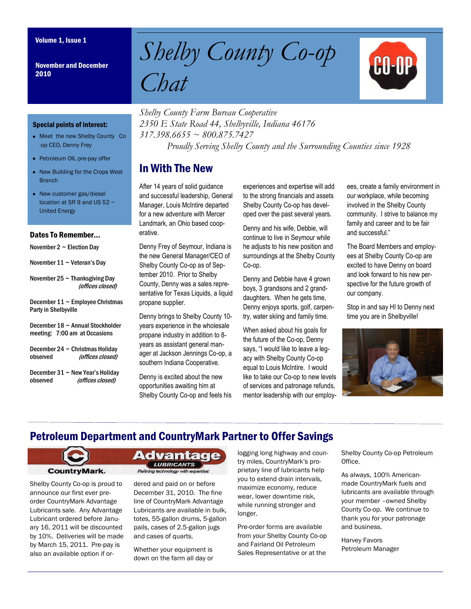November and December 2010

# Volume 1, Issue 1<br>November and December Shelby County Co-op *Chat*



#### Special points of interest:

- Meet the new Shelby County Co -op CEO, Denny Frey
- Petroleum OIL pre-pay offer
- New Building for the Crops West **Branch**
- New customer gas/diesel location at SR 9 and US 52  $\sim$ United Energy

#### Dates To Remember...

November  $2 \sim$  Election Day

- November  $11 \sim$  Veteran's Day
- November  $25 \sim$  Thanksgiving Day (offices closed)
- December  $11 \sim$  Employee Christmas Party in Shelbyville

December 18 ~ Annual Stockholder meeting: 7:00 am at Occasions

- December 24 ~ Christmas Holiday observed (offices closed)
- December 31 ~ New Year's Holiday observed (offices closed)

*Shelby County Farm Bureau Cooperative 2350 E State Road 44, Shelbyville, Indiana 46176 317.398.6655 ~ 800.875.7427 Proudly Serving Shelby County and the Surrounding Counties since 1928*

#### In With The New

After 14 years of solid guidance and successful leadership, General Manager, Louis McIntire departed for a new adventure with Mercer Landmark, an Ohio based cooperative.

Denny Frey of Seymour, Indiana is the new General Manager/CEO of Shelby County Co-op as of September 2010. Prior to Shelby County, Denny was a sales representative for Texas Liquids, a liquid propane supplier.

Denny brings to Shelby County 10 years experience in the wholesale propane industry in addition to 8 years as assistant general manager at Jackson Jennings Co-op, a southern Indiana Cooperative.

Denny is excited about the new opportunities awaiting him at Shelby County Co-op and feels his experiences and expertise will add to the strong financials and assets Shelby County Co-op has developed over the past several years.

Denny and his wife, Debbie, will continue to live in Seymour while he adjusts to his new position and surroundings at the Shelby County Co-op.

Denny and Debbie have 4 grown boys, 3 grandsons and 2 granddaughters. When he gets time, Denny enjoys sports, golf, carpentry, water skiing and family time.

When asked about his goals for the future of the Co-op, Denny says, "I would like to leave a legacy with Shelby County Co-op equal to Louis McIntire. I would like to take our Co-op to new levels of services and patronage refunds, mentor leadership with our employees, create a family environment in our workplace, while becoming involved in the Shelby County community. I strive to balance my family and career and to be fair and successful."

The Board Members and employees at Shelby County Co-op are excited to have Denny on board and look forward to his new perspective for the future growth of our company.

Stop in and say HI to Denny next time you are in Shelbyville!



#### Petroleum Department and CountryMark Partner to Offer Savings



Shelby County Co-op is proud to announce our first ever preorder CountryMark Advantage Lubricants sale. Any Advantage Lubricant ordered before January 16, 2011 will be discounted by 10%. Deliveries will be made by March 15, 2011. Pre-pay is also an available option if or**Advantage LUBRICANTS** Refining technology with expertise.

dered and paid on or before December 31, 2010. The fine line of CountryMark Advantage Lubricants are available in bulk, totes, 55-gallon drums, 5-gallon pails, cases of 2.5-gallon jugs and cases of quarts.

Whether your equipment is down on the farm all day or logging long highway and country miles, CountryMark's proprietary line of lubricants help you to extend drain intervals, maximize economy, reduce wear, lower downtime risk, while running stronger and longer.

Pre-order forms are available from your Shelby County Co-op and Fairland Oil Petroleum Sales Representative or at the

Shelby County Co-op Petroleum Office.

As always, 100% Americanmade CountryMark fuels and lubricants are available through your member –owned Shelby County Co-op. We continue to thank you for your patronage and business.

Harvey Favors Petroleum Manager